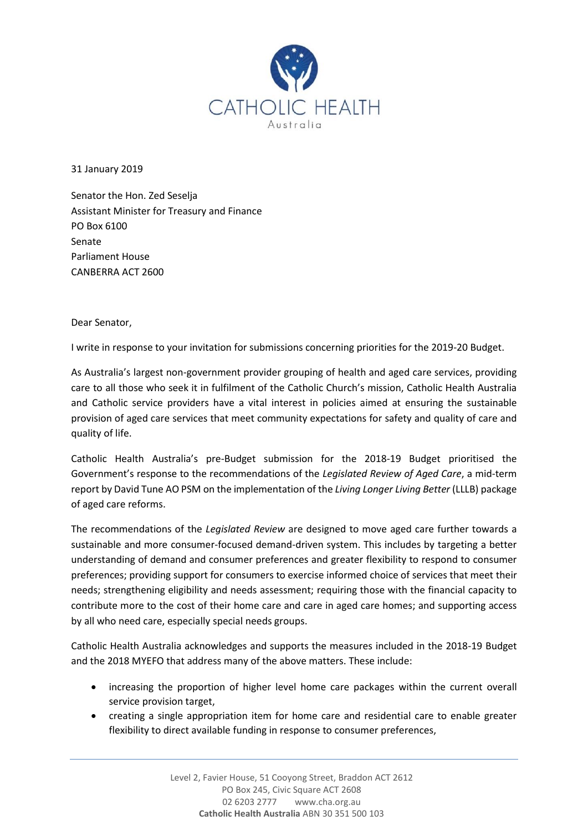

31 January 2019

Senator the Hon. Zed Seselja Assistant Minister for Treasury and Finance PO Box 6100 Senate Parliament House CANBERRA ACT 2600

Dear Senator,

I write in response to your invitation for submissions concerning priorities for the 2019-20 Budget.

As Australia's largest non-government provider grouping of health and aged care services, providing care to all those who seek it in fulfilment of the Catholic Church's mission, Catholic Health Australia and Catholic service providers have a vital interest in policies aimed at ensuring the sustainable provision of aged care services that meet community expectations for safety and quality of care and quality of life.

Catholic Health Australia's pre-Budget submission for the 2018-19 Budget prioritised the Government's response to the recommendations of the *Legislated Review of Aged Care*, a mid-term report by David Tune AO PSM on the implementation of the *Living Longer Living Better* (LLLB) package of aged care reforms.

The recommendations of the *Legislated Review* are designed to move aged care further towards a sustainable and more consumer-focused demand-driven system. This includes by targeting a better understanding of demand and consumer preferences and greater flexibility to respond to consumer preferences; providing support for consumers to exercise informed choice of services that meet their needs; strengthening eligibility and needs assessment; requiring those with the financial capacity to contribute more to the cost of their home care and care in aged care homes; and supporting access by all who need care, especially special needs groups.

Catholic Health Australia acknowledges and supports the measures included in the 2018-19 Budget and the 2018 MYEFO that address many of the above matters. These include:

- increasing the proportion of higher level home care packages within the current overall service provision target,
- creating a single appropriation item for home care and residential care to enable greater flexibility to direct available funding in response to consumer preferences,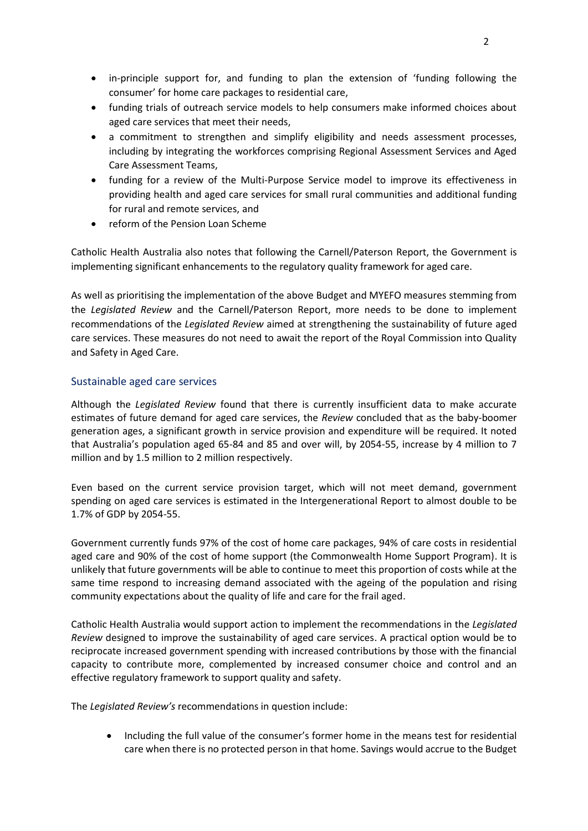- in-principle support for, and funding to plan the extension of 'funding following the consumer' for home care packages to residential care,
- funding trials of outreach service models to help consumers make informed choices about aged care services that meet their needs,
- a commitment to strengthen and simplify eligibility and needs assessment processes, including by integrating the workforces comprising Regional Assessment Services and Aged Care Assessment Teams,
- funding for a review of the Multi-Purpose Service model to improve its effectiveness in providing health and aged care services for small rural communities and additional funding for rural and remote services, and
- reform of the Pension Loan Scheme

Catholic Health Australia also notes that following the Carnell/Paterson Report, the Government is implementing significant enhancements to the regulatory quality framework for aged care.

As well as prioritising the implementation of the above Budget and MYEFO measures stemming from the *Legislated Review* and the Carnell/Paterson Report, more needs to be done to implement recommendations of the *Legislated Review* aimed at strengthening the sustainability of future aged care services. These measures do not need to await the report of the Royal Commission into Quality and Safety in Aged Care.

# Sustainable aged care services

Although the *Legislated Review* found that there is currently insufficient data to make accurate estimates of future demand for aged care services, the *Review* concluded that as the baby-boomer generation ages, a significant growth in service provision and expenditure will be required. It noted that Australia's population aged 65-84 and 85 and over will, by 2054-55, increase by 4 million to 7 million and by 1.5 million to 2 million respectively.

Even based on the current service provision target, which will not meet demand, government spending on aged care services is estimated in the Intergenerational Report to almost double to be 1.7% of GDP by 2054-55.

Government currently funds 97% of the cost of home care packages, 94% of care costs in residential aged care and 90% of the cost of home support (the Commonwealth Home Support Program). It is unlikely that future governments will be able to continue to meet this proportion of costs while at the same time respond to increasing demand associated with the ageing of the population and rising community expectations about the quality of life and care for the frail aged.

Catholic Health Australia would support action to implement the recommendations in the *Legislated Review* designed to improve the sustainability of aged care services. A practical option would be to reciprocate increased government spending with increased contributions by those with the financial capacity to contribute more, complemented by increased consumer choice and control and an effective regulatory framework to support quality and safety.

The *Legislated Review's* recommendations in question include:

 Including the full value of the consumer's former home in the means test for residential care when there is no protected person in that home. Savings would accrue to the Budget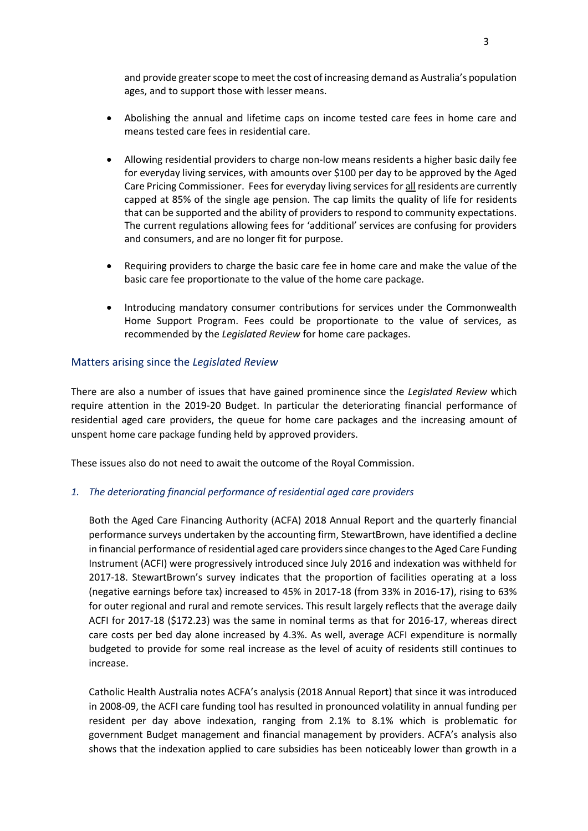and provide greater scope to meet the cost of increasing demand as Australia's population ages, and to support those with lesser means.

- Abolishing the annual and lifetime caps on income tested care fees in home care and means tested care fees in residential care.
- Allowing residential providers to charge non-low means residents a higher basic daily fee for everyday living services, with amounts over \$100 per day to be approved by the Aged Care Pricing Commissioner. Fees for everyday living servicesfor all residents are currently capped at 85% of the single age pension. The cap limits the quality of life for residents that can be supported and the ability of providers to respond to community expectations. The current regulations allowing fees for 'additional' services are confusing for providers and consumers, and are no longer fit for purpose.
- Requiring providers to charge the basic care fee in home care and make the value of the basic care fee proportionate to the value of the home care package.
- Introducing mandatory consumer contributions for services under the Commonwealth Home Support Program. Fees could be proportionate to the value of services, as recommended by the *Legislated Review* for home care packages.

## Matters arising since the *Legislated Review*

There are also a number of issues that have gained prominence since the *Legislated Review* which require attention in the 2019-20 Budget. In particular the deteriorating financial performance of residential aged care providers, the queue for home care packages and the increasing amount of unspent home care package funding held by approved providers.

These issues also do not need to await the outcome of the Royal Commission.

## *1. The deteriorating financial performance of residential aged care providers*

Both the Aged Care Financing Authority (ACFA) 2018 Annual Report and the quarterly financial performance surveys undertaken by the accounting firm, StewartBrown, have identified a decline in financial performance of residential aged care providers since changes to the Aged Care Funding Instrument (ACFI) were progressively introduced since July 2016 and indexation was withheld for 2017-18. StewartBrown's survey indicates that the proportion of facilities operating at a loss (negative earnings before tax) increased to 45% in 2017-18 (from 33% in 2016-17), rising to 63% for outer regional and rural and remote services. This result largely reflects that the average daily ACFI for 2017-18 (\$172.23) was the same in nominal terms as that for 2016-17, whereas direct care costs per bed day alone increased by 4.3%. As well, average ACFI expenditure is normally budgeted to provide for some real increase as the level of acuity of residents still continues to increase.

Catholic Health Australia notes ACFA's analysis (2018 Annual Report) that since it was introduced in 2008-09, the ACFI care funding tool has resulted in pronounced volatility in annual funding per resident per day above indexation, ranging from 2.1% to 8.1% which is problematic for government Budget management and financial management by providers. ACFA's analysis also shows that the indexation applied to care subsidies has been noticeably lower than growth in a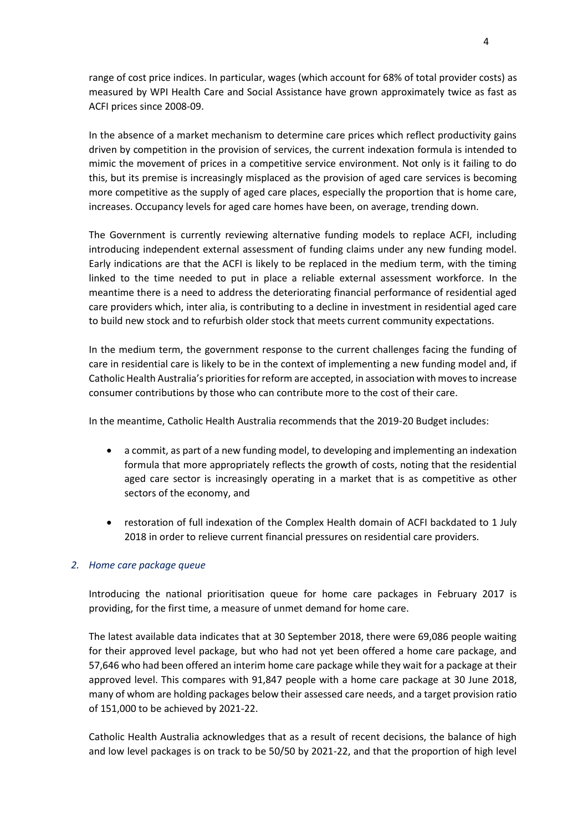range of cost price indices. In particular, wages (which account for 68% of total provider costs) as measured by WPI Health Care and Social Assistance have grown approximately twice as fast as ACFI prices since 2008-09.

In the absence of a market mechanism to determine care prices which reflect productivity gains driven by competition in the provision of services, the current indexation formula is intended to mimic the movement of prices in a competitive service environment. Not only is it failing to do this, but its premise is increasingly misplaced as the provision of aged care services is becoming more competitive as the supply of aged care places, especially the proportion that is home care, increases. Occupancy levels for aged care homes have been, on average, trending down.

The Government is currently reviewing alternative funding models to replace ACFI, including introducing independent external assessment of funding claims under any new funding model. Early indications are that the ACFI is likely to be replaced in the medium term, with the timing linked to the time needed to put in place a reliable external assessment workforce. In the meantime there is a need to address the deteriorating financial performance of residential aged care providers which, inter alia, is contributing to a decline in investment in residential aged care to build new stock and to refurbish older stock that meets current community expectations.

In the medium term, the government response to the current challenges facing the funding of care in residential care is likely to be in the context of implementing a new funding model and, if Catholic Health Australia's priorities for reform are accepted, in association with moves to increase consumer contributions by those who can contribute more to the cost of their care.

In the meantime, Catholic Health Australia recommends that the 2019-20 Budget includes:

- a commit, as part of a new funding model, to developing and implementing an indexation formula that more appropriately reflects the growth of costs, noting that the residential aged care sector is increasingly operating in a market that is as competitive as other sectors of the economy, and
- restoration of full indexation of the Complex Health domain of ACFI backdated to 1 July 2018 in order to relieve current financial pressures on residential care providers.

## *2. Home care package queue*

Introducing the national prioritisation queue for home care packages in February 2017 is providing, for the first time, a measure of unmet demand for home care.

The latest available data indicates that at 30 September 2018, there were 69,086 people waiting for their approved level package, but who had not yet been offered a home care package, and 57,646 who had been offered an interim home care package while they wait for a package at their approved level. This compares with 91,847 people with a home care package at 30 June 2018, many of whom are holding packages below their assessed care needs, and a target provision ratio of 151,000 to be achieved by 2021-22.

Catholic Health Australia acknowledges that as a result of recent decisions, the balance of high and low level packages is on track to be 50/50 by 2021-22, and that the proportion of high level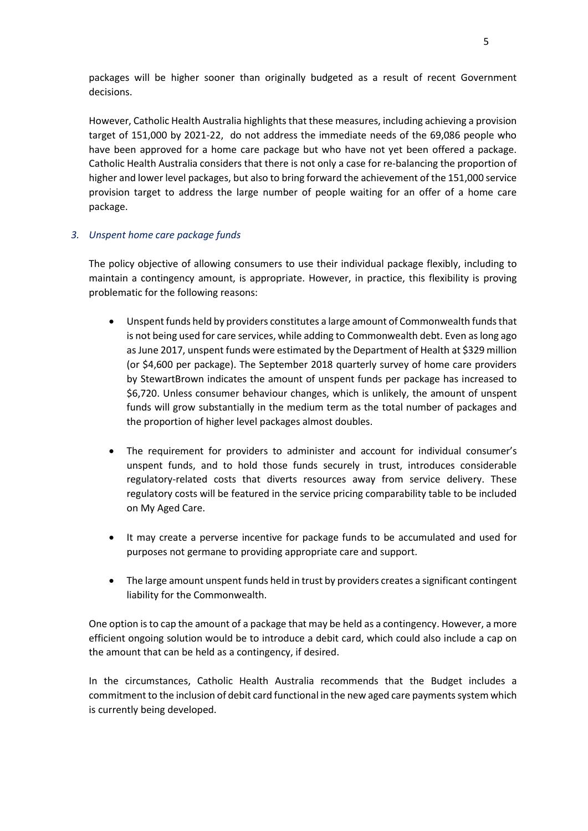packages will be higher sooner than originally budgeted as a result of recent Government decisions.

However, Catholic Health Australia highlights that these measures, including achieving a provision target of 151,000 by 2021-22, do not address the immediate needs of the 69,086 people who have been approved for a home care package but who have not yet been offered a package. Catholic Health Australia considers that there is not only a case for re-balancing the proportion of higher and lower level packages, but also to bring forward the achievement of the 151,000 service provision target to address the large number of people waiting for an offer of a home care package.

# *3. Unspent home care package funds*

The policy objective of allowing consumers to use their individual package flexibly, including to maintain a contingency amount, is appropriate. However, in practice, this flexibility is proving problematic for the following reasons:

- Unspent funds held by providers constitutes a large amount of Commonwealth funds that is not being used for care services, while adding to Commonwealth debt. Even as long ago as June 2017, unspent funds were estimated by the Department of Health at \$329 million (or \$4,600 per package). The September 2018 quarterly survey of home care providers by StewartBrown indicates the amount of unspent funds per package has increased to \$6,720. Unless consumer behaviour changes, which is unlikely, the amount of unspent funds will grow substantially in the medium term as the total number of packages and the proportion of higher level packages almost doubles.
- The requirement for providers to administer and account for individual consumer's unspent funds, and to hold those funds securely in trust, introduces considerable regulatory-related costs that diverts resources away from service delivery. These regulatory costs will be featured in the service pricing comparability table to be included on My Aged Care.
- It may create a perverse incentive for package funds to be accumulated and used for purposes not germane to providing appropriate care and support.
- The large amount unspent funds held in trust by providers creates a significant contingent liability for the Commonwealth.

One option is to cap the amount of a package that may be held as a contingency. However, a more efficient ongoing solution would be to introduce a debit card, which could also include a cap on the amount that can be held as a contingency, if desired.

In the circumstances, Catholic Health Australia recommends that the Budget includes a commitment to the inclusion of debit card functional in the new aged care payments system which is currently being developed.